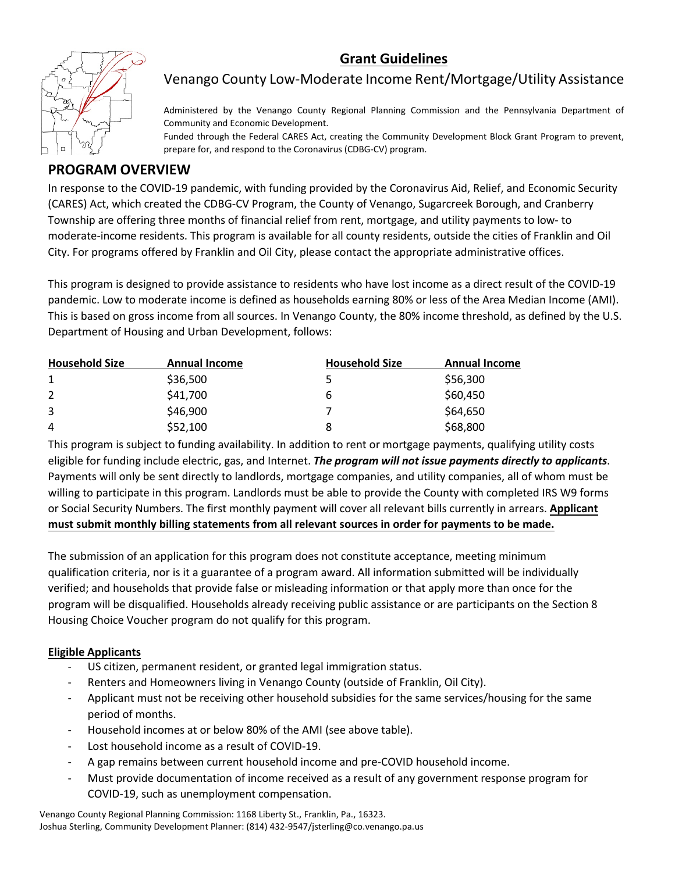## **Grant Guidelines**



## Venango County Low-Moderate Income Rent/Mortgage/Utility Assistance

Administered by the Venango County Regional Planning Commission and the Pennsylvania Department of Community and Economic Development.

Funded through the Federal CARES Act, creating the Community Development Block Grant Program to prevent, prepare for, and respond to the Coronavirus (CDBG-CV) program.

### **PROGRAM OVERVIEW**

In response to the COVID-19 pandemic, with funding provided by the Coronavirus Aid, Relief, and Economic Security (CARES) Act, which created the CDBG-CV Program, the County of Venango, Sugarcreek Borough, and Cranberry Township are offering three months of financial relief from rent, mortgage, and utility payments to low- to moderate-income residents. This program is available for all county residents, outside the cities of Franklin and Oil City. For programs offered by Franklin and Oil City, please contact the appropriate administrative offices.

This program is designed to provide assistance to residents who have lost income as a direct result of the COVID-19 pandemic. Low to moderate income is defined as households earning 80% or less of the Area Median Income (AMI). This is based on gross income from all sources. In Venango County, the 80% income threshold, as defined by the U.S. Department of Housing and Urban Development, follows:

| <b>Household Size</b> | <b>Annual Income</b> | <b>Household Size</b> | <b>Annual Income</b> |
|-----------------------|----------------------|-----------------------|----------------------|
|                       | \$36,500             |                       | \$56,300             |
|                       | \$41,700             | ь                     | \$60,450             |
| 3                     | \$46,900             |                       | \$64,650             |
| 4                     | \$52,100             | 8                     | \$68,800             |

This program is subject to funding availability. In addition to rent or mortgage payments, qualifying utility costs eligible for funding include electric, gas, and Internet. *The program will not issue payments directly to applicants*. Payments will only be sent directly to landlords, mortgage companies, and utility companies, all of whom must be willing to participate in this program. Landlords must be able to provide the County with completed IRS W9 forms or Social Security Numbers. The first monthly payment will cover all relevant bills currently in arrears. **Applicant must submit monthly billing statements from all relevant sources in order for payments to be made.**

The submission of an application for this program does not constitute acceptance, meeting minimum qualification criteria, nor is it a guarantee of a program award. All information submitted will be individually verified; and households that provide false or misleading information or that apply more than once for the program will be disqualified. Households already receiving public assistance or are participants on the Section 8 Housing Choice Voucher program do not qualify for this program.

### **Eligible Applicants**

- US citizen, permanent resident, or granted legal immigration status.
- Renters and Homeowners living in Venango County (outside of Franklin, Oil City).
- Applicant must not be receiving other household subsidies for the same services/housing for the same period of months.
- Household incomes at or below 80% of the AMI (see above table).
- Lost household income as a result of COVID-19.
- A gap remains between current household income and pre-COVID household income.
- Must provide documentation of income received as a result of any government response program for COVID-19, such as unemployment compensation.

Venango County Regional Planning Commission: 1168 Liberty St., Franklin, Pa., 16323. Joshua Sterling, Community Development Planner: (814) 432-9547/jsterling@co.venango.pa.us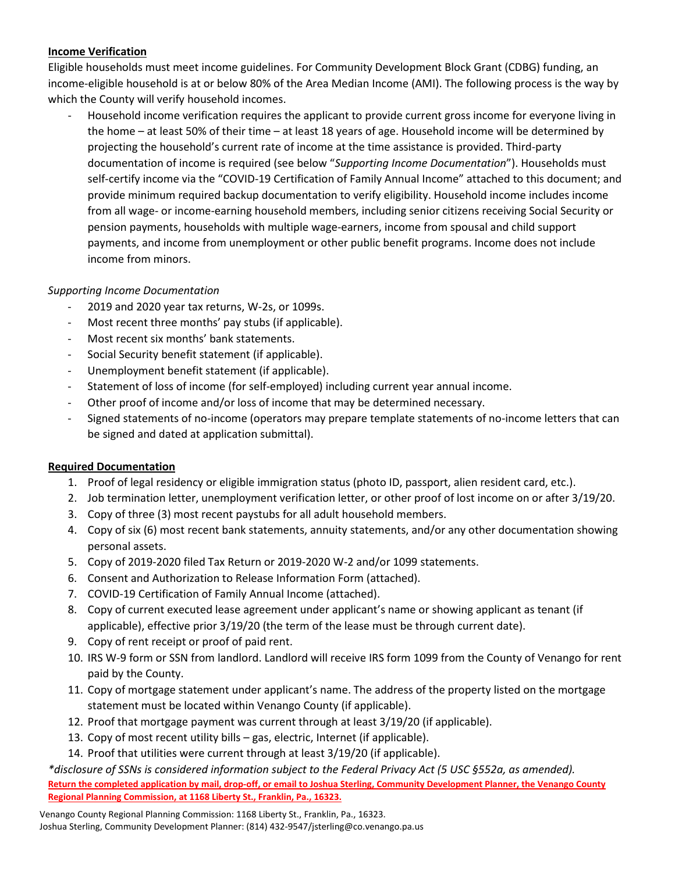#### **Income Verification**

Eligible households must meet income guidelines. For Community Development Block Grant (CDBG) funding, an income-eligible household is at or below 80% of the Area Median Income (AMI). The following process is the way by which the County will verify household incomes.

- Household income verification requires the applicant to provide current gross income for everyone living in the home – at least 50% of their time – at least 18 years of age. Household income will be determined by projecting the household's current rate of income at the time assistance is provided. Third-party documentation of income is required (see below "*Supporting Income Documentation*"). Households must self-certify income via the "COVID-19 Certification of Family Annual Income" attached to this document; and provide minimum required backup documentation to verify eligibility. Household income includes income from all wage- or income-earning household members, including senior citizens receiving Social Security or pension payments, households with multiple wage-earners, income from spousal and child support payments, and income from unemployment or other public benefit programs. Income does not include income from minors.

#### *Supporting Income Documentation*

- 2019 and 2020 year tax returns, W-2s, or 1099s.
- Most recent three months' pay stubs (if applicable).
- Most recent six months' bank statements.
- Social Security benefit statement (if applicable).
- Unemployment benefit statement (if applicable).
- Statement of loss of income (for self-employed) including current year annual income.
- Other proof of income and/or loss of income that may be determined necessary.
- Signed statements of no-income (operators may prepare template statements of no-income letters that can be signed and dated at application submittal).

#### **Required Documentation**

- 1. Proof of legal residency or eligible immigration status (photo ID, passport, alien resident card, etc.).
- 2. Job termination letter, unemployment verification letter, or other proof of lost income on or after 3/19/20.
- 3. Copy of three (3) most recent paystubs for all adult household members.
- 4. Copy of six (6) most recent bank statements, annuity statements, and/or any other documentation showing personal assets.
- 5. Copy of 2019-2020 filed Tax Return or 2019-2020 W-2 and/or 1099 statements.
- 6. Consent and Authorization to Release Information Form (attached).
- 7. COVID-19 Certification of Family Annual Income (attached).
- 8. Copy of current executed lease agreement under applicant's name or showing applicant as tenant (if applicable), effective prior 3/19/20 (the term of the lease must be through current date).
- 9. Copy of rent receipt or proof of paid rent.
- 10. IRS W-9 form or SSN from landlord. Landlord will receive IRS form 1099 from the County of Venango for rent paid by the County.
- 11. Copy of mortgage statement under applicant's name. The address of the property listed on the mortgage statement must be located within Venango County (if applicable).
- 12. Proof that mortgage payment was current through at least 3/19/20 (if applicable).
- 13. Copy of most recent utility bills gas, electric, Internet (if applicable).
- 14. Proof that utilities were current through at least 3/19/20 (if applicable).

*\*disclosure of SSNs is considered information subject to the Federal Privacy Act (5 USC §552a, as amended).* **Return the completed application by mail, drop-off, or email to Joshua Sterling, Community Development Planner, the Venango County Regional Planning Commission, at 1168 Liberty St., Franklin, Pa., 16323.**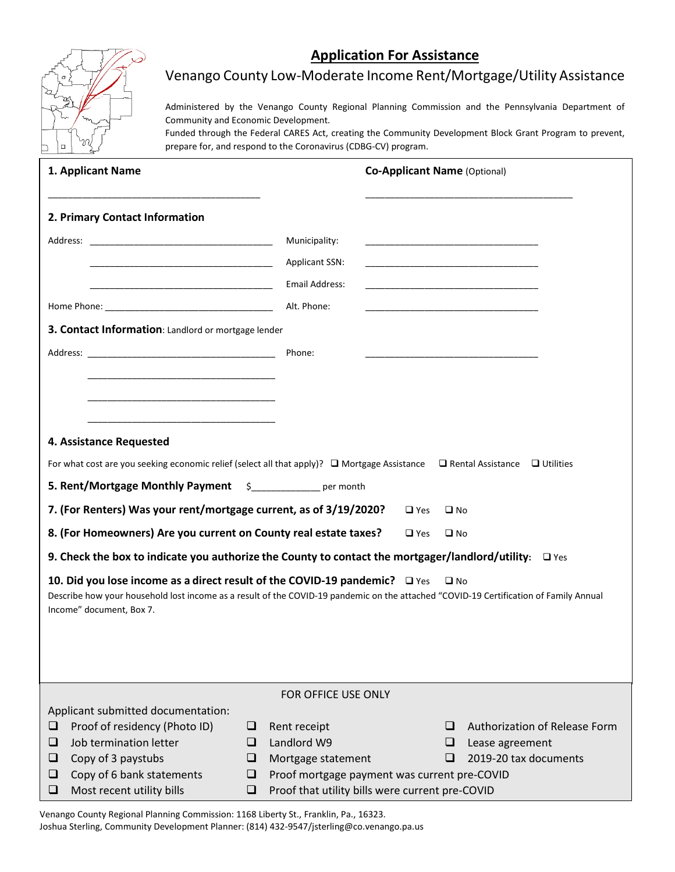### **Application For Assistance**



## Venango County Low-Moderate Income Rent/Mortgage/Utility Assistance

Administered by the Venango County Regional Planning Commission and the Pennsylvania Department of Community and Economic Development.

Funded through the Federal CARES Act, creating the Community Development Block Grant Program to prevent, prepare for, and respond to the Coronavirus (CDBG-CV) program.

|   | 1. Applicant Name                                                                                                                           |   |                                                 |            |              | <b>Co-Applicant Name (Optional)</b> |
|---|---------------------------------------------------------------------------------------------------------------------------------------------|---|-------------------------------------------------|------------|--------------|-------------------------------------|
|   | 2. Primary Contact Information                                                                                                              |   |                                                 |            |              |                                     |
|   |                                                                                                                                             |   | Municipality:                                   |            |              |                                     |
|   |                                                                                                                                             |   | <b>Applicant SSN:</b>                           |            |              |                                     |
|   |                                                                                                                                             |   | Email Address:                                  |            |              |                                     |
|   |                                                                                                                                             |   | Alt. Phone:                                     |            |              |                                     |
|   | 3. Contact Information: Landlord or mortgage lender                                                                                         |   |                                                 |            |              |                                     |
|   |                                                                                                                                             |   |                                                 |            |              |                                     |
|   |                                                                                                                                             |   | Phone:                                          |            |              |                                     |
|   |                                                                                                                                             |   |                                                 |            |              |                                     |
|   |                                                                                                                                             |   |                                                 |            |              |                                     |
|   |                                                                                                                                             |   |                                                 |            |              |                                     |
|   | 4. Assistance Requested                                                                                                                     |   |                                                 |            |              |                                     |
|   | For what cost are you seeking economic relief (select all that apply)? $\Box$ Mortgage Assistance $\Box$ Rental Assistance $\Box$ Utilities |   |                                                 |            |              |                                     |
|   | 5. Rent/Mortgage Monthly Payment \$____________ per month                                                                                   |   |                                                 |            |              |                                     |
|   | 7. (For Renters) Was your rent/mortgage current, as of 3/19/2020?                                                                           |   |                                                 | $\Box$ Yes | $\square$ No |                                     |
|   | 8. (For Homeowners) Are you current on County real estate taxes?                                                                            |   |                                                 | $\Box$ Yes | $\square$ No |                                     |
|   | 9. Check the box to indicate you authorize the County to contact the mortgager/landlord/utility: $\Box$ Yes                                 |   |                                                 |            |              |                                     |
|   | 10. Did you lose income as a direct result of the COVID-19 pandemic? $\Box$ Yes                                                             |   |                                                 |            | $\square$ No |                                     |
|   | Describe how your household lost income as a result of the COVID-19 pandemic on the attached "COVID-19 Certification of Family Annual       |   |                                                 |            |              |                                     |
|   | Income" document, Box 7.                                                                                                                    |   |                                                 |            |              |                                     |
|   |                                                                                                                                             |   |                                                 |            |              |                                     |
|   |                                                                                                                                             |   |                                                 |            |              |                                     |
|   |                                                                                                                                             |   |                                                 |            |              |                                     |
|   |                                                                                                                                             |   | FOR OFFICE USE ONLY                             |            |              |                                     |
| ❏ | Applicant submitted documentation:<br>Proof of residency (Photo ID)                                                                         | ⊔ | Rent receipt                                    |            | ப            | Authorization of Release Form       |
| □ | Job termination letter                                                                                                                      | ⊔ | Landlord W9                                     |            | ❏            | Lease agreement                     |
| ⊔ | Copy of 3 paystubs                                                                                                                          | ⊔ | Mortgage statement                              |            | ப            | 2019-20 tax documents               |
| ⊔ | Copy of 6 bank statements                                                                                                                   | ⊔ | Proof mortgage payment was current pre-COVID    |            |              |                                     |
| □ | Most recent utility bills                                                                                                                   | □ | Proof that utility bills were current pre-COVID |            |              |                                     |

Venango County Regional Planning Commission: 1168 Liberty St., Franklin, Pa., 16323. Joshua Sterling, Community Development Planner: (814) 432-9547/jsterling@co.venango.pa.us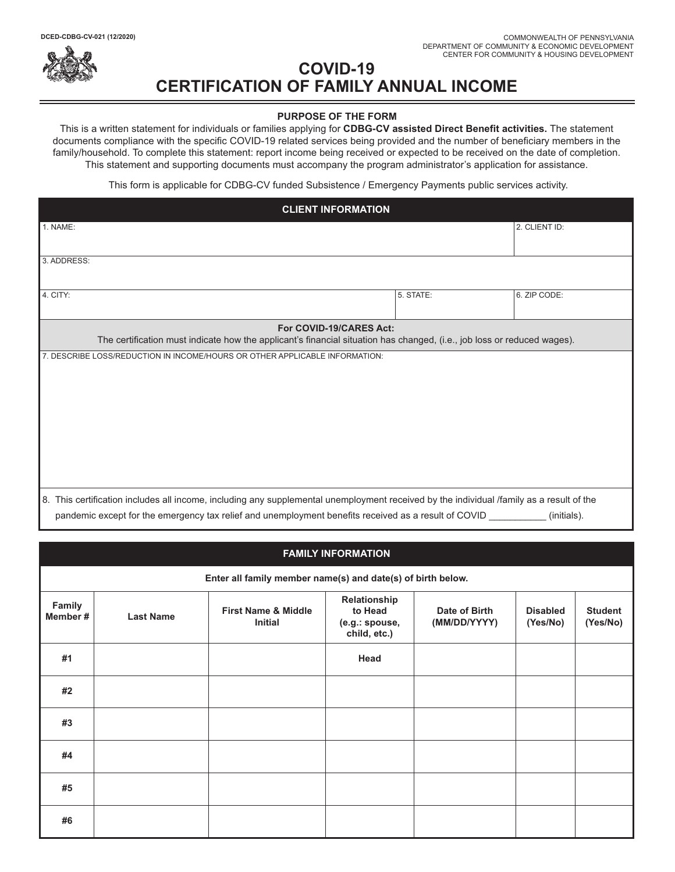

# **COVID-19 CERTIFICATION OF FAMILY ANNUAL INCOME**

#### **PURPOSE OF THE FORM**

This is a written statement for individuals or families applying for **CDBG-CV assisted Direct Benefit activities.** The statement documents compliance with the specific COVID-19 related services being provided and the number of beneficiary members in the family/household. To complete this statement: report income being received or expected to be received on the date of completion. This statement and supporting documents must accompany the program administrator's application for assistance.

This form is applicable for CDBG-CV funded Subsistence / Emergency Payments public services activity.

| <b>CLIENT INFORMATION</b>                                                                                                                                                                                                                        |                         |               |  |
|--------------------------------------------------------------------------------------------------------------------------------------------------------------------------------------------------------------------------------------------------|-------------------------|---------------|--|
| 1. NAME:                                                                                                                                                                                                                                         |                         | 2. CLIENT ID: |  |
| 3. ADDRESS:                                                                                                                                                                                                                                      |                         |               |  |
| 4. CITY:                                                                                                                                                                                                                                         | 5. STATE:               | 6. ZIP CODE:  |  |
| The certification must indicate how the applicant's financial situation has changed, (i.e., job loss or reduced wages).                                                                                                                          | For COVID-19/CARES Act: |               |  |
| 7. DESCRIBE LOSS/REDUCTION IN INCOME/HOURS OR OTHER APPLICABLE INFORMATION:                                                                                                                                                                      |                         |               |  |
| 8. This certification includes all income, including any supplemental unemployment received by the individual /family as a result of the<br>pandemic except for the emergency tax relief and unemployment benefits received as a result of COVID |                         | (initials).   |  |

| <b>FAMILY INFORMATION</b> |                                                             |                                                  |                                                           |                               |                             |                            |  |  |  |
|---------------------------|-------------------------------------------------------------|--------------------------------------------------|-----------------------------------------------------------|-------------------------------|-----------------------------|----------------------------|--|--|--|
|                           | Enter all family member name(s) and date(s) of birth below. |                                                  |                                                           |                               |                             |                            |  |  |  |
| Family<br>Member #        | <b>Last Name</b>                                            | <b>First Name &amp; Middle</b><br><b>Initial</b> | Relationship<br>to Head<br>(e.g.: spouse,<br>child, etc.) | Date of Birth<br>(MM/DD/YYYY) | <b>Disabled</b><br>(Yes/No) | <b>Student</b><br>(Yes/No) |  |  |  |
| #1                        |                                                             |                                                  | Head                                                      |                               |                             |                            |  |  |  |
| #2                        |                                                             |                                                  |                                                           |                               |                             |                            |  |  |  |
| #3                        |                                                             |                                                  |                                                           |                               |                             |                            |  |  |  |
| #4                        |                                                             |                                                  |                                                           |                               |                             |                            |  |  |  |
| #5                        |                                                             |                                                  |                                                           |                               |                             |                            |  |  |  |
| #6                        |                                                             |                                                  |                                                           |                               |                             |                            |  |  |  |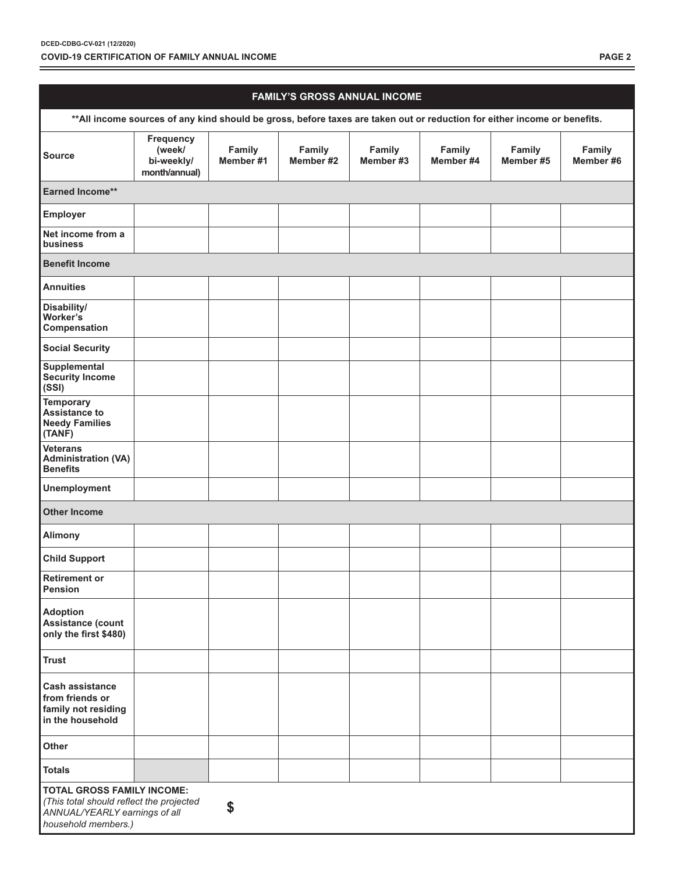| <b>FAMILY'S GROSS ANNUAL INCOME</b>                                                                                                         |                                                    |                     |                     |                     |                     |                     |                     |
|---------------------------------------------------------------------------------------------------------------------------------------------|----------------------------------------------------|---------------------|---------------------|---------------------|---------------------|---------------------|---------------------|
| ** All income sources of any kind should be gross, before taxes are taken out or reduction for either income or benefits.                   |                                                    |                     |                     |                     |                     |                     |                     |
| <b>Source</b>                                                                                                                               | Frequency<br>(week/<br>bi-weekly/<br>month/annual) | Family<br>Member #1 | Family<br>Member #2 | Family<br>Member #3 | Family<br>Member #4 | Family<br>Member #5 | Family<br>Member #6 |
| Earned Income**                                                                                                                             |                                                    |                     |                     |                     |                     |                     |                     |
| Employer                                                                                                                                    |                                                    |                     |                     |                     |                     |                     |                     |
| Net income from a<br>business                                                                                                               |                                                    |                     |                     |                     |                     |                     |                     |
| <b>Benefit Income</b>                                                                                                                       |                                                    |                     |                     |                     |                     |                     |                     |
| <b>Annuities</b>                                                                                                                            |                                                    |                     |                     |                     |                     |                     |                     |
| Disability/<br>Worker's<br>Compensation                                                                                                     |                                                    |                     |                     |                     |                     |                     |                     |
| <b>Social Security</b>                                                                                                                      |                                                    |                     |                     |                     |                     |                     |                     |
| Supplemental<br><b>Security Income</b><br>(SSI)                                                                                             |                                                    |                     |                     |                     |                     |                     |                     |
| <b>Temporary</b><br><b>Assistance to</b><br><b>Needy Families</b><br>(TANF)                                                                 |                                                    |                     |                     |                     |                     |                     |                     |
| <b>Veterans</b><br><b>Administration (VA)</b><br><b>Benefits</b>                                                                            |                                                    |                     |                     |                     |                     |                     |                     |
| <b>Unemployment</b>                                                                                                                         |                                                    |                     |                     |                     |                     |                     |                     |
| <b>Other Income</b>                                                                                                                         |                                                    |                     |                     |                     |                     |                     |                     |
| <b>Alimony</b>                                                                                                                              |                                                    |                     |                     |                     |                     |                     |                     |
| <b>Child Support</b>                                                                                                                        |                                                    |                     |                     |                     |                     |                     |                     |
| <b>Retirement or</b><br>Pension                                                                                                             |                                                    |                     |                     |                     |                     |                     |                     |
| <b>Adoption</b><br>Assistance (count<br>only the first \$480)                                                                               |                                                    |                     |                     |                     |                     |                     |                     |
| <b>Trust</b>                                                                                                                                |                                                    |                     |                     |                     |                     |                     |                     |
| <b>Cash assistance</b><br>from friends or<br>family not residing<br>in the household                                                        |                                                    |                     |                     |                     |                     |                     |                     |
| Other                                                                                                                                       |                                                    |                     |                     |                     |                     |                     |                     |
| <b>Totals</b>                                                                                                                               |                                                    |                     |                     |                     |                     |                     |                     |
| <b>TOTAL GROSS FAMILY INCOME:</b><br>(This total should reflect the projected<br>\$<br>ANNUAL/YEARLY earnings of all<br>household members.) |                                                    |                     |                     |                     |                     |                     |                     |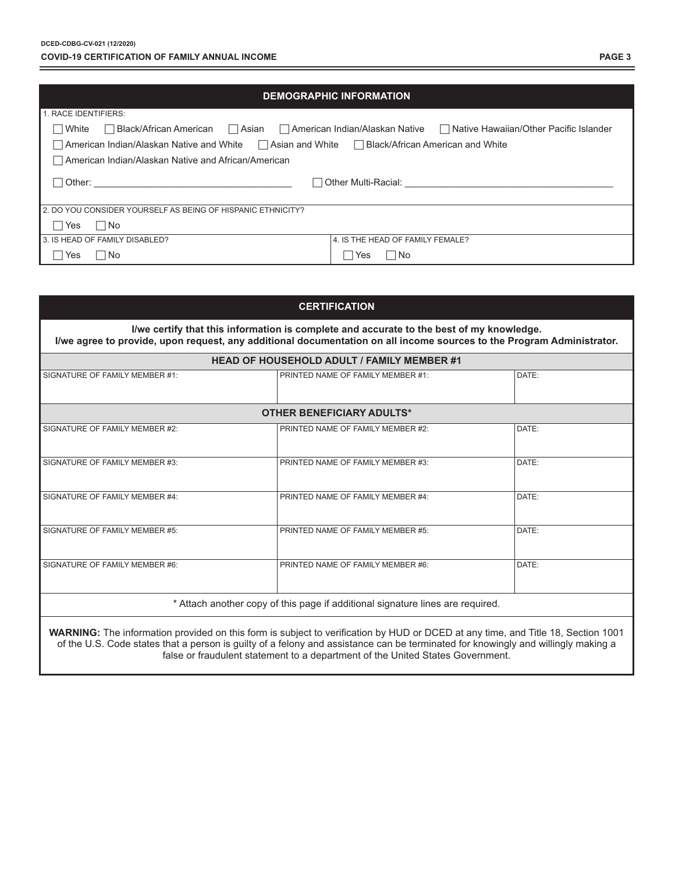| <b>DEMOGRAPHIC INFORMATION</b>                                                                                                                                                                                                |                                  |  |  |  |  |
|-------------------------------------------------------------------------------------------------------------------------------------------------------------------------------------------------------------------------------|----------------------------------|--|--|--|--|
| 1. RACE IDENTIFIERS:                                                                                                                                                                                                          |                                  |  |  |  |  |
| Black/African American   Asian   American Indian/Alaskan Native   Native Hawaiian/Other Pacific Islander<br>  White                                                                                                           |                                  |  |  |  |  |
| $\Box$ American Indian/Alaskan Native and White $\Box$ Asian and White $\Box$ Black/African American and White                                                                                                                |                                  |  |  |  |  |
| American Indian/Alaskan Native and African/American                                                                                                                                                                           |                                  |  |  |  |  |
| □ Other Multi-Racial: Weblack and Weblack and Weblack and Weblack and Weblack and Weblack and Weblack and Weblack and Weblack and Weblack and Weblack and Weblack and Weblack and Weblack and Weblack and Weblack and Weblack |                                  |  |  |  |  |
| 2. DO YOU CONSIDER YOURSELF AS BEING OF HISPANIC ETHNICITY?                                                                                                                                                                   |                                  |  |  |  |  |
| $\Box$ No<br>Yes                                                                                                                                                                                                              |                                  |  |  |  |  |
| 3. IS HEAD OF FAMILY DISABLED?                                                                                                                                                                                                | 4. IS THE HEAD OF FAMILY FEMALE? |  |  |  |  |
| $\Box$ No<br>Yes<br>l Yes                                                                                                                                                                                                     | - I No                           |  |  |  |  |

| <b>CERTIFICATION</b>                                                           |                                                                                                                                                                                                                   |       |  |  |
|--------------------------------------------------------------------------------|-------------------------------------------------------------------------------------------------------------------------------------------------------------------------------------------------------------------|-------|--|--|
|                                                                                | I/we certify that this information is complete and accurate to the best of my knowledge.<br>I/we agree to provide, upon request, any additional documentation on all income sources to the Program Administrator. |       |  |  |
|                                                                                | <b>HEAD OF HOUSEHOLD ADULT / FAMILY MEMBER #1</b>                                                                                                                                                                 |       |  |  |
| SIGNATURE OF FAMILY MEMBER #1:                                                 | PRINTED NAME OF FAMILY MEMBER #1:                                                                                                                                                                                 | DATE: |  |  |
|                                                                                | <b>OTHER BENEFICIARY ADULTS*</b>                                                                                                                                                                                  |       |  |  |
| SIGNATURE OF FAMILY MEMBER #2:                                                 | PRINTED NAME OF FAMILY MEMBER #2:                                                                                                                                                                                 | DATE: |  |  |
| SIGNATURE OF FAMILY MEMBER #3:                                                 | PRINTED NAME OF FAMILY MEMBER #3:                                                                                                                                                                                 | DATE: |  |  |
| SIGNATURE OF FAMILY MEMBER #4:                                                 | PRINTED NAME OF FAMILY MEMBER #4:                                                                                                                                                                                 | DATE: |  |  |
| SIGNATURE OF FAMILY MEMBER #5:                                                 | PRINTED NAME OF FAMILY MEMBER #5:                                                                                                                                                                                 | DATE: |  |  |
| SIGNATURE OF FAMILY MEMBER #6:                                                 | PRINTED NAME OF FAMILY MEMBER #6:                                                                                                                                                                                 | DATE: |  |  |
| * Attach another copy of this page if additional signature lines are required. |                                                                                                                                                                                                                   |       |  |  |

**WARNING:** The information provided on this form is subject to verification by HUD or DCED at any time, and Title 18, Section 1001 of the U.S. Code states that a person is guilty of a felony and assistance can be terminated for knowingly and willingly making a false or fraudulent statement to a department of the United States Government.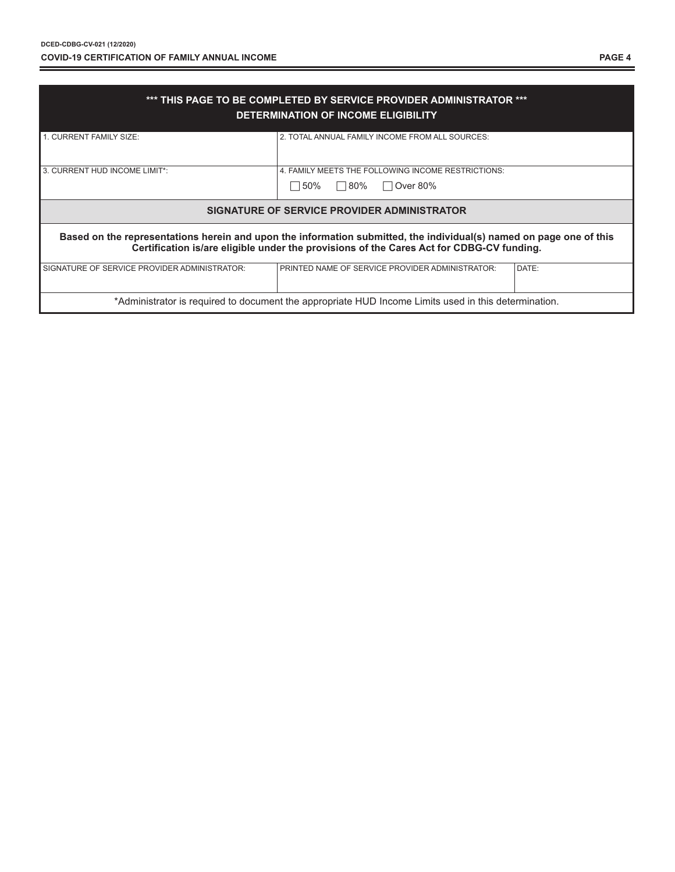| *** THIS PAGE TO BE COMPLETED BY SERVICE PROVIDER ADMINISTRATOR ***<br>DETERMINATION OF INCOME ELIGIBILITY                                                                                                      |                                                    |       |  |  |
|-----------------------------------------------------------------------------------------------------------------------------------------------------------------------------------------------------------------|----------------------------------------------------|-------|--|--|
| 1. CURRENT FAMILY SIZE:                                                                                                                                                                                         | 2. TOTAL ANNUAL FAMILY INCOME FROM ALL SOURCES:    |       |  |  |
| 3. CURRENT HUD INCOME LIMIT*:                                                                                                                                                                                   | 4. FAMILY MEETS THE FOLLOWING INCOME RESTRICTIONS: |       |  |  |
|                                                                                                                                                                                                                 | $\Box$ 50%<br>$\Box$ 80%<br>$\Box$ Over 80%        |       |  |  |
| SIGNATURE OF SERVICE PROVIDER ADMINISTRATOR                                                                                                                                                                     |                                                    |       |  |  |
| Based on the representations herein and upon the information submitted, the individual(s) named on page one of this<br>Certification is/are eligible under the provisions of the Cares Act for CDBG-CV funding. |                                                    |       |  |  |
| SIGNATURE OF SERVICE PROVIDER ADMINISTRATOR:                                                                                                                                                                    | PRINTED NAME OF SERVICE PROVIDER ADMINISTRATOR:    | DATE: |  |  |
| *Administrator is required to document the appropriate HUD Income Limits used in this determination.                                                                                                            |                                                    |       |  |  |